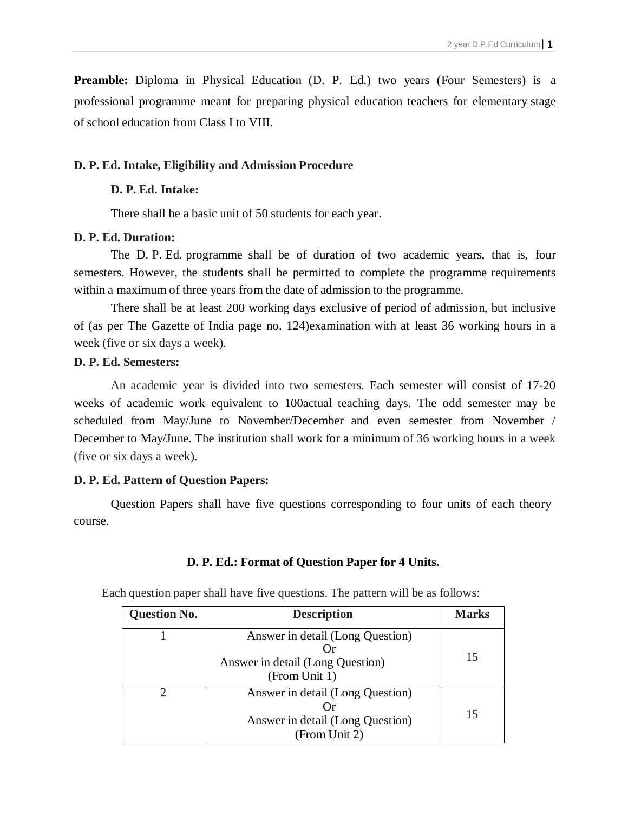**Preamble:** Diploma in Physical Education (D. P. Ed.) two years (Four Semesters) is a professional programme meant for preparing physical education teachers for elementary stage of school education from Class I to VIII.

## **D. P. Ed. Intake, Eligibility and Admission Procedure**

## **D. P. Ed. Intake:**

There shall be a basic unit of 50 students for each year.

## **D. P. Ed. Duration:**

The D. P. Ed. programme shall be of duration of two academic years, that is, four semesters. However, the students shall be permitted to complete the programme requirements within a maximum of three years from the date of admission to the programme.

There shall be at least 200 working days exclusive of period of admission, but inclusive of (as per The Gazette of India page no. 124)examination with at least 36 working hours in a week (five or six days a week).

## **D. P. Ed. Semesters:**

An academic year is divided into two semesters. Each semester will consist of 17-20 weeks of academic work equivalent to 100actual teaching days. The odd semester may be scheduled from May/June to November/December and even semester from November / December to May/June. The institution shall work for a minimum of 36 working hours in a week (five or six days a week).

## **D. P. Ed. Pattern of Question Papers:**

Question Papers shall have five questions corresponding to four units of each theory course.

## **D. P. Ed.: Format of Question Paper for 4 Units.**

|  |  |  | Each question paper shall have five questions. The pattern will be as follows: |  |  |  |
|--|--|--|--------------------------------------------------------------------------------|--|--|--|
|  |  |  |                                                                                |  |  |  |

| <b>Question No.</b> | <b>Description</b>                                                                    | <b>Marks</b> |
|---------------------|---------------------------------------------------------------------------------------|--------------|
|                     | Answer in detail (Long Question)<br>Answer in detail (Long Question)<br>(From Unit 1) | 15           |
|                     | Answer in detail (Long Question)<br>Answer in detail (Long Question)<br>(From Unit 2) | 15           |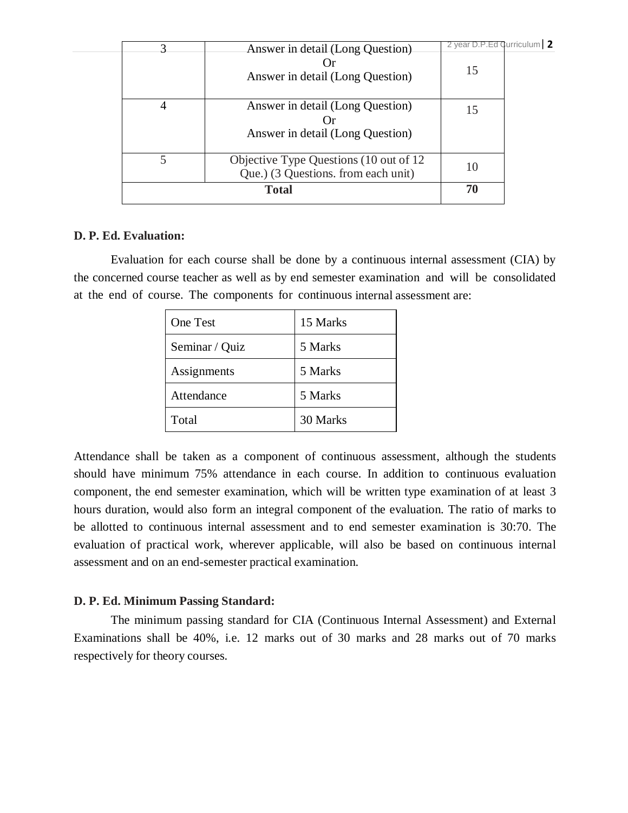|             | <b>Total</b>                                                                  | 70                                 |  |
|-------------|-------------------------------------------------------------------------------|------------------------------------|--|
| 5           | Objective Type Questions (10 out of 12<br>Que.) (3 Questions. from each unit) | 10                                 |  |
| 4           | Answer in detail (Long Question)<br>Answer in detail (Long Question)          | 15                                 |  |
| $\mathbf 3$ | Answer in detail (Long Question)<br>Answer in detail (Long Question)          | 2 year D.P.Ed Curriculum   2<br>15 |  |

## **D. P. Ed. Evaluation:**

Evaluation for each course shall be done by a continuous internal assessment (CIA) by the concerned course teacher as well as by end semester examination and will be consolidated at the end of course. The components for continuous internal assessment are:

| <b>One Test</b> | 15 Marks |
|-----------------|----------|
| Seminar / Quiz  | 5 Marks  |
| Assignments     | 5 Marks  |
| Attendance      | 5 Marks  |
| Total           | 30 Marks |

Attendance shall be taken as a component of continuous assessment, although the students should have minimum 75% attendance in each course. In addition to continuous evaluation component, the end semester examination, which will be written type examination of at least 3 hours duration, would also form an integral component of the evaluation. The ratio of marks to be allotted to continuous internal assessment and to end semester examination is 30:70. The evaluation of practical work, wherever applicable, will also be based on continuous internal assessment and on an end-semester practical examination.

## **D. P. Ed. Minimum Passing Standard:**

The minimum passing standard for CIA (Continuous Internal Assessment) and External Examinations shall be 40%, i.e. 12 marks out of 30 marks and 28 marks out of 70 marks respectively for theory courses.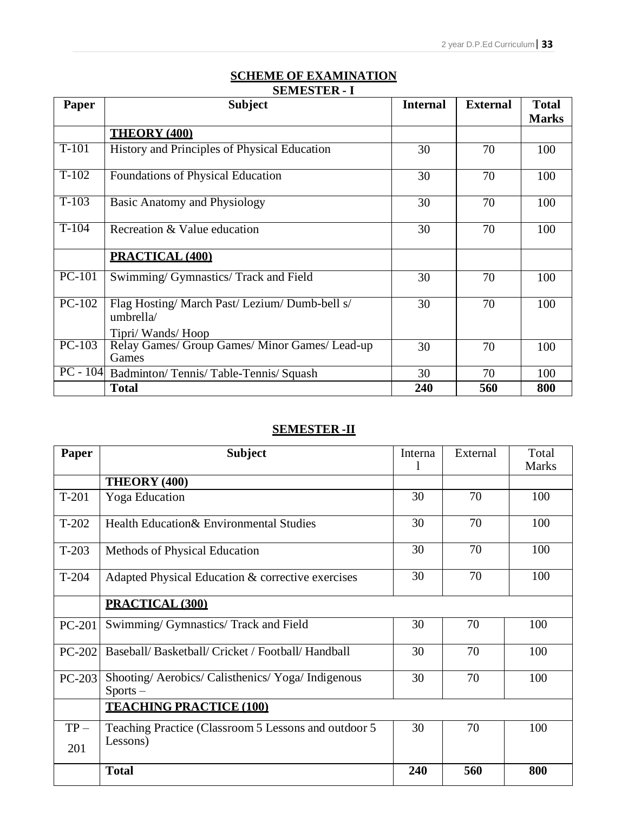## **SCHEME OF EXAMINATION SEMESTER - I**

| Paper               | <b>Subject</b>                                                                  | <b>Internal</b> | <b>External</b> | <b>Total</b><br><b>Marks</b> |
|---------------------|---------------------------------------------------------------------------------|-----------------|-----------------|------------------------------|
|                     | <b>THEORY (400)</b>                                                             |                 |                 |                              |
| $\overline{T}$ -101 | History and Principles of Physical Education                                    | 30              | 70              | 100                          |
| $T-102$             | Foundations of Physical Education                                               | 30              | 70              | 100                          |
| $T-103$             | <b>Basic Anatomy and Physiology</b>                                             | 30              | 70              | 100                          |
| $T-104$             | Recreation & Value education                                                    | 30              | 70              | 100                          |
|                     | PRACTICAL (400)                                                                 |                 |                 |                              |
| $PC-101$            | Swimming/ Gymnastics/ Track and Field                                           | 30              | 70              | 100                          |
| $PC-102$            | Flag Hosting/ March Past/ Lezium/ Dumb-bell s/<br>umbrella/<br>Tipri/Wands/Hoop | 30              | 70              | 100                          |
| $PC-103$            | Relay Games/ Group Games/ Minor Games/ Lead-up<br>Games                         | 30              | 70              | 100                          |
|                     | PC - 104 Badminton/Tennis/Table-Tennis/Squash                                   | 30              | 70              | 100                          |
|                     | <b>Total</b>                                                                    | 240             | 560             | 800                          |

## **SEMESTER -II**

| Paper   | <b>Subject</b>                                               | Interna | External | Total        |
|---------|--------------------------------------------------------------|---------|----------|--------------|
|         |                                                              |         |          | <b>Marks</b> |
|         | THEORY (400)                                                 |         |          |              |
| $T-201$ | <b>Yoga</b> Education                                        | 30      | 70       | 100          |
| $T-202$ | Health Education& Environmental Studies                      | 30      | 70       | 100          |
| $T-203$ | Methods of Physical Education                                | 30      | 70       | 100          |
| $T-204$ | Adapted Physical Education & corrective exercises            | 30      | 70       | 100          |
|         | PRACTICAL (300)                                              |         |          |              |
| PC-201  | Swimming/ Gymnastics/ Track and Field                        | 30      | 70       | 100          |
| PC-202  | Baseball/Basketball/Cricket / Football/Handball              | 30      | 70       | 100          |
| PC-203  | Shooting/Aerobics/Calisthenics/Yoga/Indigenous<br>$Sports -$ | 30      | 70       | 100          |
|         | <b>TEACHING PRACTICE (100)</b>                               |         |          |              |
| $TP-$   | Teaching Practice (Classroom 5 Lessons and outdoor 5         | 30      | 70       | 100          |
| 201     | Lessons)                                                     |         |          |              |
|         | <b>Total</b>                                                 | 240     | 560      | 800          |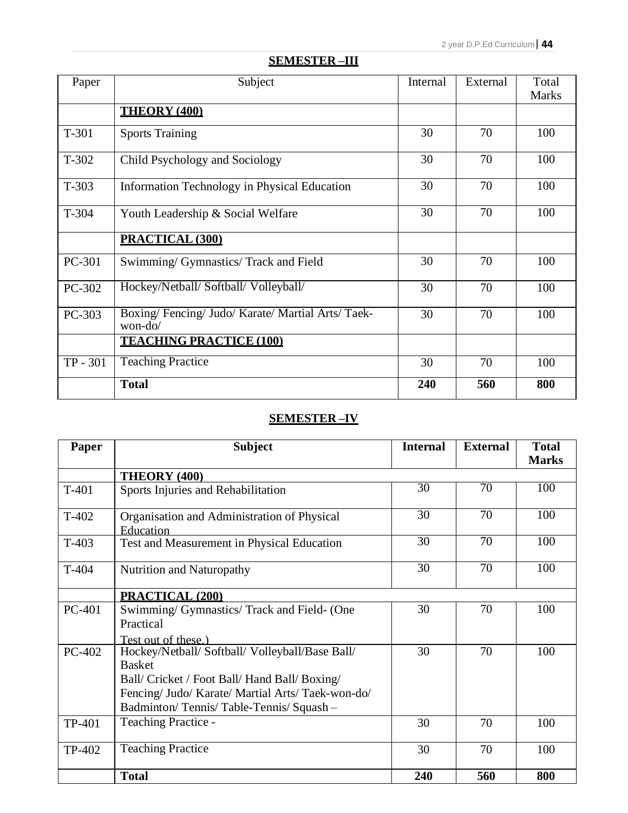| Paper      | Subject                                                  | Internal | External | Total<br><b>Marks</b> |
|------------|----------------------------------------------------------|----------|----------|-----------------------|
|            | <b>THEORY (400)</b>                                      |          |          |                       |
| T-301      | <b>Sports Training</b>                                   | 30       | 70       | 100                   |
| T-302      | Child Psychology and Sociology                           | 30       | 70       | 100                   |
| $T-303$    | Information Technology in Physical Education             | 30       | 70       | 100                   |
| $T-304$    | Youth Leadership & Social Welfare                        | 30       | 70       | 100                   |
|            | PRACTICAL (300)                                          |          |          |                       |
| PC-301     | Swimming/ Gymnastics/ Track and Field                    | 30       | 70       | 100                   |
| PC-302     | Hockey/Netball/ Softball/ Volleyball/                    | 30       | 70       | 100                   |
| PC-303     | Boxing/Fencing/Judo/Karate/Martial Arts/Taek-<br>won-do/ | 30       | 70       | 100                   |
|            | <b>TEACHING PRACTICE (100)</b>                           |          |          |                       |
| $TP - 301$ | <b>Teaching Practice</b>                                 | 30       | 70       | 100                   |
|            | <b>Total</b>                                             | 240      | 560      | 800                   |

## **SEMESTER –III**

## **SEMESTER –IV**

| Paper         | <b>Subject</b>                                                                                                                                                                                                  | <b>Internal</b> | <b>External</b> | <b>Total</b><br><b>Marks</b> |
|---------------|-----------------------------------------------------------------------------------------------------------------------------------------------------------------------------------------------------------------|-----------------|-----------------|------------------------------|
|               | <b>THEORY (400)</b>                                                                                                                                                                                             |                 |                 |                              |
| $T-401$       | Sports Injuries and Rehabilitation                                                                                                                                                                              | $\overline{30}$ | $\overline{70}$ | 100                          |
| $T-402$       | Organisation and Administration of Physical<br>Education                                                                                                                                                        | 30              | 70              | 100                          |
| $T-403$       | Test and Measurement in Physical Education                                                                                                                                                                      | 30              | $\overline{70}$ | 100                          |
| T-404         | Nutrition and Naturopathy                                                                                                                                                                                       | 30              | 70              | 100                          |
|               | <b>PRACTICAL (200)</b>                                                                                                                                                                                          |                 |                 |                              |
| <b>PC-401</b> | Swimming/ Gymnastics/ Track and Field- (One<br>Practical                                                                                                                                                        | 30              | 70              | 100                          |
|               | Test out of these.)                                                                                                                                                                                             |                 |                 |                              |
| PC-402        | Hockey/Netball/ Softball/ Volleyball/Base Ball/<br><b>Basket</b><br>Ball/ Cricket / Foot Ball/ Hand Ball/ Boxing/<br>Fencing/ Judo/ Karate/ Martial Arts/ Taek-won-do/<br>Badminton/Tennis/Table-Tennis/Squash- | 30              | 70              | 100                          |
| TP-401        | <b>Teaching Practice -</b>                                                                                                                                                                                      | 30              | 70              | 100                          |
| TP-402        | <b>Teaching Practice</b>                                                                                                                                                                                        | 30              | 70              | 100                          |
|               | <b>Total</b>                                                                                                                                                                                                    | 240             | 560             | 800                          |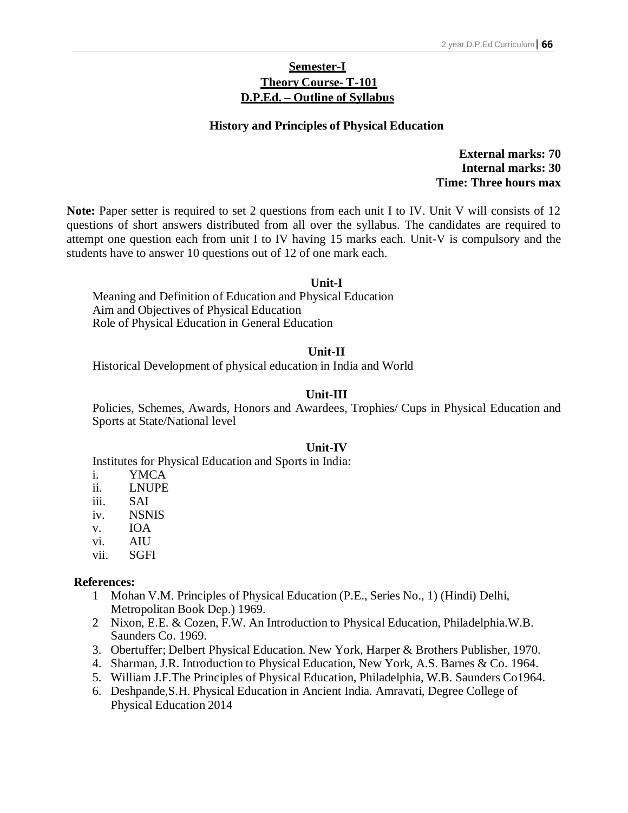## **Semester-I Theory Course- T-101 D.P.Ed. – Outline of Syllabus**

#### **History and Principles of Physical Education**

**External marks: 70 Internal marks: 30 Time: Three hours max**

**Note:** Paper setter is required to set 2 questions from each unit I to IV. Unit V will consists of 12 questions of short answers distributed from all over the syllabus. The candidates are required to attempt one question each from unit I to IV having 15 marks each. Unit-V is compulsory and the students have to answer 10 questions out of 12 of one mark each.

#### **Unit-I**

Meaning and Definition of Education and Physical Education Aim and Objectives of Physical Education Role of Physical Education in General Education

#### **Unit-II**

Historical Development of physical education in India and World

#### **Unit-III**

Policies, Schemes, Awards, Honors and Awardees, Trophies/ Cups in Physical Education and Sports at State/National level

#### **Unit-IV**

Institutes for Physical Education and Sports in India:

- i. YMCA
- ii. LNUPE
- iii. SAI
- iv. NSNIS
- v. IOA
- vi. AIU
- vii. SGFI

- 1 Mohan V.M. Principles of Physical Education (P.E., Series No., 1) (Hindi) Delhi, Metropolitan Book Dep.) 1969.
- 2 Nixon, E.E. & Cozen, F.W. An Introduction to Physical Education, Philadelphia.W.B. Saunders Co. 1969.
- 3. Obertuffer; Delbert Physical Education. New York, Harper & Brothers Publisher, 1970.
- 4. Sharman, J.R. Introduction to Physical Education, New York, A.S. Barnes & Co. 1964.
- 5. William J.F.The Principles of Physical Education, Philadelphia, W.B. Saunders Co1964.
- 6. Deshpande,S.H. Physical Education in Ancient India. Amravati, Degree College of Physical Education 2014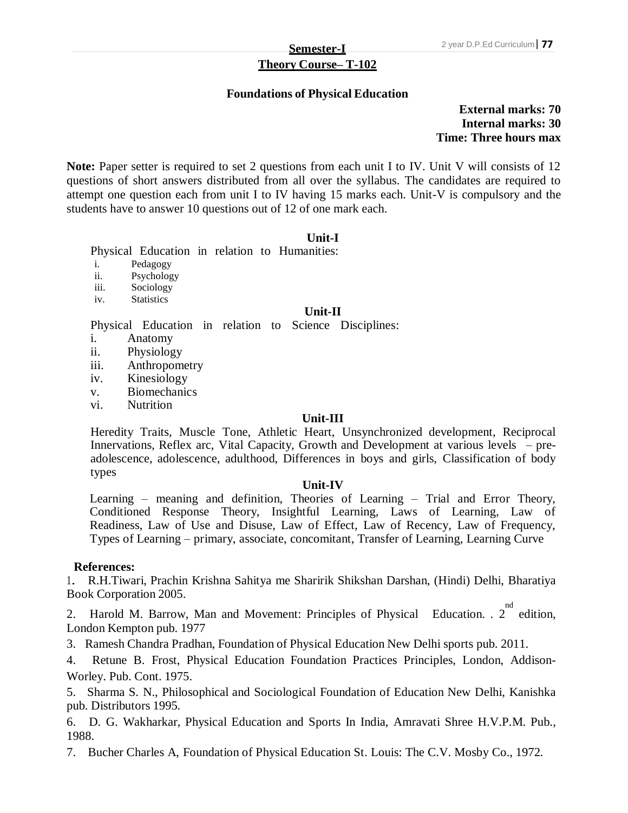# **Theory Course– T-102**

### **Foundations of Physical Education**

**External marks: 70 Internal marks: 30 Time: Three hours max**

Note: Paper setter is required to set 2 questions from each unit I to IV. Unit V will consists of 12 questions of short answers distributed from all over the syllabus. The candidates are required to attempt one question each from unit I to IV having 15 marks each. Unit-V is compulsory and the students have to answer 10 questions out of 12 of one mark each.

#### **Unit-I**

Physical Education in relation to Humanities:

- i. Pedagogy
- ii. Psychology
- iii. Sociology
- iv. Statistics

#### **Unit-II**

Physical Education in relation to Science Disciplines:

- i. Anatomy
- ii. Physiology
- iii. Anthropometry
- iv. Kinesiology
- v. Biomechanics
- vi. Nutrition

#### **Unit-III**

Heredity Traits, Muscle Tone, Athletic Heart, Unsynchronized development, Reciprocal Innervations, Reflex arc, Vital Capacity, Growth and Development at various levels – preadolescence, adolescence, adulthood, Differences in boys and girls, Classification of body types

#### **Unit-IV**

Learning – meaning and definition, Theories of Learning – Trial and Error Theory, Conditioned Response Theory, Insightful Learning, Laws of Learning, Law of Readiness, Law of Use and Disuse, Law of Effect, Law of Recency, Law of Frequency, Types of Learning – primary, associate, concomitant, Transfer of Learning, Learning Curve

#### **References:**

1. R.H.Tiwari, Prachin Krishna Sahitya me Sharirik Shikshan Darshan, (Hindi) Delhi, Bharatiya Book Corporation 2005.

2. Harold M. Barrow, Man and Movement: Principles of Physical Education. .  $2^{nd}$  edition, London Kempton pub. 1977

3. Ramesh Chandra Pradhan, Foundation of Physical Education New Delhi sports pub. 2011.

4. Retune B. Frost, Physical Education Foundation Practices Principles, London, Addison-Worley. Pub. Cont. 1975.

5. Sharma S. N., Philosophical and Sociological Foundation of Education New Delhi, Kanishka pub. Distributors 1995.

6. D. G. Wakharkar, Physical Education and Sports In India, Amravati Shree H.V.P.M. Pub., 1988.

7. Bucher Charles A, Foundation of Physical Education St. Louis: The C.V. Mosby Co., 1972.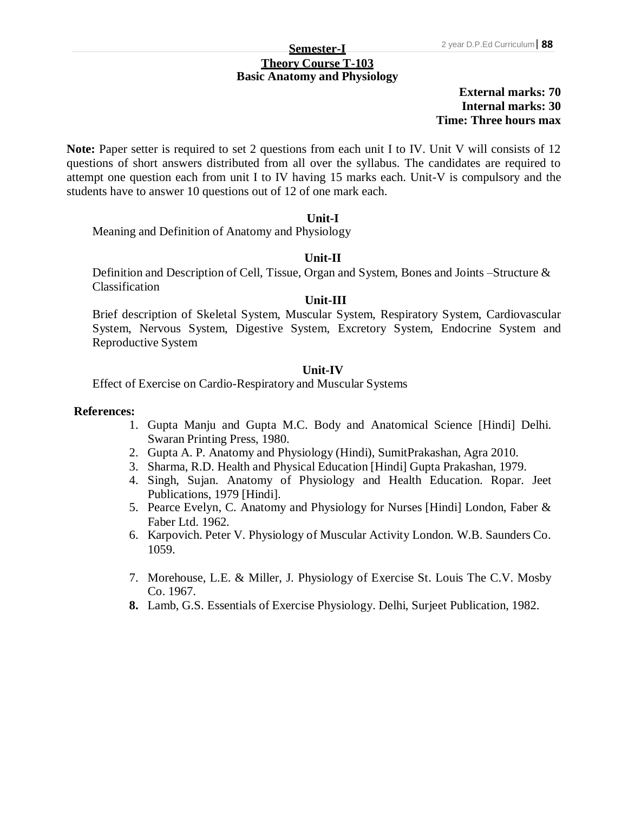# **Theory Course T-103 Basic Anatomy and Physiology**

## **External marks: 70 Internal marks: 30 Time: Three hours max**

Note: Paper setter is required to set 2 questions from each unit I to IV. Unit V will consists of 12 questions of short answers distributed from all over the syllabus. The candidates are required to attempt one question each from unit I to IV having 15 marks each. Unit-V is compulsory and the students have to answer 10 questions out of 12 of one mark each.

#### **Unit-I**

Meaning and Definition of Anatomy and Physiology

#### **Unit-II**

Definition and Description of Cell, Tissue, Organ and System, Bones and Joints –Structure & Classification

#### **Unit-III**

Brief description of Skeletal System, Muscular System, Respiratory System, Cardiovascular System, Nervous System, Digestive System, Excretory System, Endocrine System and Reproductive System

## **Unit-IV**

Effect of Exercise on Cardio-Respiratory and Muscular Systems

- 1. Gupta Manju and Gupta M.C. Body and Anatomical Science [Hindi] Delhi. Swaran Printing Press, 1980.
- 2. Gupta A. P. Anatomy and Physiology (Hindi), SumitPrakashan, Agra 2010.
- 3. Sharma, R.D. Health and Physical Education [Hindi] Gupta Prakashan, 1979.
- 4. Singh, Sujan. Anatomy of Physiology and Health Education. Ropar. Jeet Publications, 1979 [Hindi].
- 5. Pearce Evelyn, C. Anatomy and Physiology for Nurses [Hindi] London, Faber & Faber Ltd. 1962.
- 6. Karpovich. Peter V. Physiology of Muscular Activity London. W.B. Saunders Co. 1059.
- 7. Morehouse, L.E. & Miller, J. Physiology of Exercise St. Louis The C.V. Mosby Co. 1967.
- **8.** Lamb, G.S. Essentials of Exercise Physiology. Delhi, Surjeet Publication, 1982.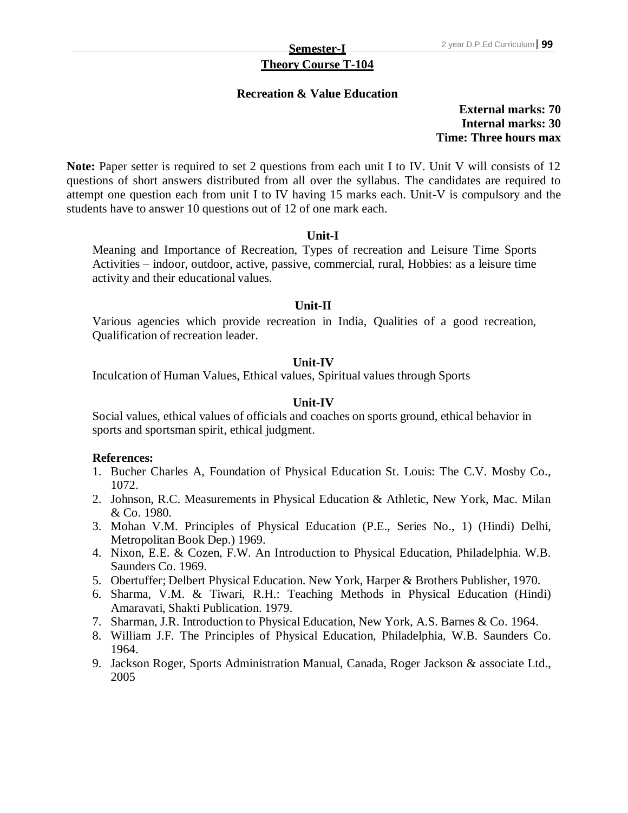# **Theory Course T-104**

### **Recreation & Value Education**

**External marks: 70 Internal marks: 30 Time: Three hours max**

Note: Paper setter is required to set 2 questions from each unit I to IV. Unit V will consists of 12 questions of short answers distributed from all over the syllabus. The candidates are required to attempt one question each from unit I to IV having 15 marks each. Unit-V is compulsory and the students have to answer 10 questions out of 12 of one mark each.

#### **Unit-I**

Meaning and Importance of Recreation, Types of recreation and Leisure Time Sports Activities – indoor, outdoor, active, passive, commercial, rural, Hobbies: as a leisure time activity and their educational values.

#### **Unit-II**

Various agencies which provide recreation in India, Qualities of a good recreation, Qualification of recreation leader.

## **Unit-IV**

Inculcation of Human Values, Ethical values, Spiritual values through Sports

#### **Unit-IV**

Social values, ethical values of officials and coaches on sports ground, ethical behavior in sports and sportsman spirit, ethical judgment.

- 1. Bucher Charles A, Foundation of Physical Education St. Louis: The C.V. Mosby Co., 1072.
- 2. Johnson, R.C. Measurements in Physical Education & Athletic, New York, Mac. Milan & Co. 1980.
- 3. Mohan V.M. Principles of Physical Education (P.E., Series No., 1) (Hindi) Delhi, Metropolitan Book Dep.) 1969.
- 4. Nixon, E.E. & Cozen, F.W. An Introduction to Physical Education, Philadelphia. W.B. Saunders Co. 1969.
- 5. Obertuffer; Delbert Physical Education. New York, Harper & Brothers Publisher, 1970.
- 6. Sharma, V.M. & Tiwari, R.H.: Teaching Methods in Physical Education (Hindi) Amaravati, Shakti Publication. 1979.
- 7. Sharman, J.R. Introduction to Physical Education, New York, A.S. Barnes & Co. 1964.
- 8. William J.F. The Principles of Physical Education, Philadelphia, W.B. Saunders Co. 1964.
- 9. Jackson Roger, Sports Administration Manual, Canada, Roger Jackson & associate Ltd., 2005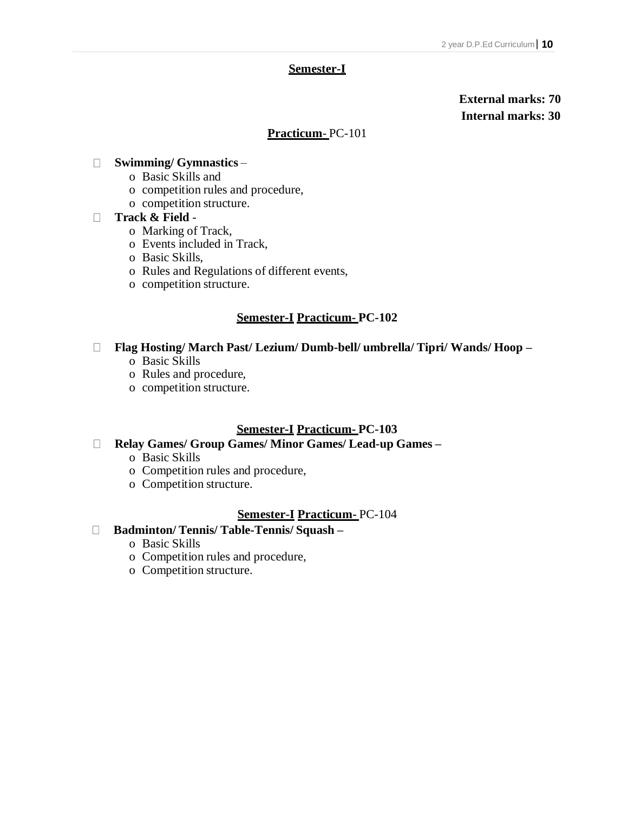### **Semester-I**

## **External marks: 70 Internal marks: 30**

### **Practicum**- PC-101

### **Swimming/ Gymnastics** –

- o Basic Skills and
- o competition rules and procedure,
- o competition structure.

#### **Track & Field** -

- o Marking of Track,
- o Events included in Track,
- o Basic Skills,
- o Rules and Regulations of different events,
- o competition structure.

## **Semester-I Practicum- PC-102**

#### **Flag Hosting/ March Past/ Lezium/ Dumb-bell/ umbrella/ Tipri/ Wands/ Hoop –**

- o Basic Skills
- o Rules and procedure,
- o competition structure.

## **Semester-I Practicum- PC-103**

- **Relay Games/ Group Games/ Minor Games/ Lead-up Games –**
	- o Basic Skills
	- o Competition rules and procedure,
	- o Competition structure.

## **Semester-I Practicum-** PC-104

## **Badminton/ Tennis/ Table-Tennis/ Squash –**

- o Basic Skills
- o Competition rules and procedure,
- o Competition structure.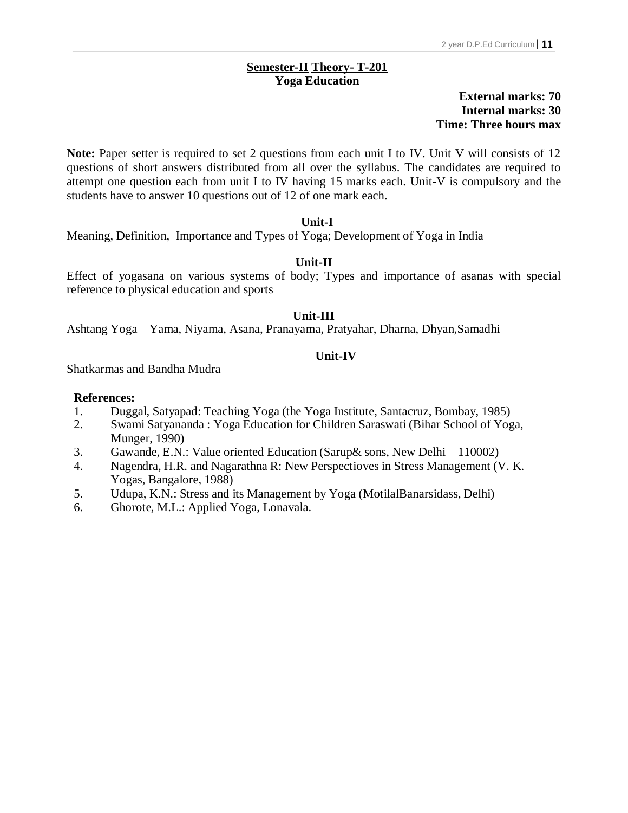## **Semester-II Theory- T-201 Yoga Education**

## **External marks: 70 Internal marks: 30 Time: Three hours max**

Note: Paper setter is required to set 2 questions from each unit I to IV. Unit V will consists of 12 questions of short answers distributed from all over the syllabus. The candidates are required to attempt one question each from unit I to IV having 15 marks each. Unit-V is compulsory and the students have to answer 10 questions out of 12 of one mark each.

## **Unit-I**

Meaning, Definition, Importance and Types of Yoga; Development of Yoga in India

## **Unit-II**

Effect of yogasana on various systems of body; Types and importance of asanas with special reference to physical education and sports

## **Unit-III**

Ashtang Yoga – Yama, Niyama, Asana, Pranayama, Pratyahar, Dharna, Dhyan,Samadhi

#### **Unit-IV**

Shatkarmas and Bandha Mudra

- 1. Duggal, Satyapad: Teaching Yoga (the Yoga Institute, Santacruz, Bombay, 1985)
- 2. Swami Satyananda : Yoga Education for Children Saraswati (Bihar School of Yoga, Munger, 1990)
- 3. Gawande, E.N.: Value oriented Education (Sarup& sons, New Delhi 110002)
- 4. Nagendra, H.R. and Nagarathna R: New Perspectioves in Stress Management (V. K. Yogas, Bangalore, 1988)
- 5. Udupa, K.N.: Stress and its Management by Yoga (MotilalBanarsidass, Delhi)
- 6. Ghorote, M.L.: Applied Yoga, Lonavala.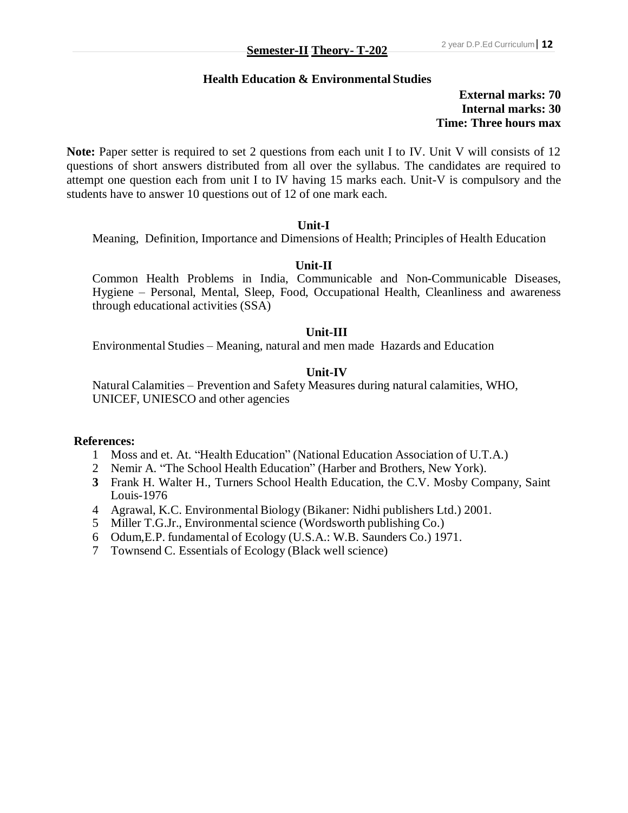## **Health Education & Environmental Studies**

## **External marks: 70 Internal marks: 30 Time: Three hours max**

Note: Paper setter is required to set 2 questions from each unit I to IV. Unit V will consists of 12 questions of short answers distributed from all over the syllabus. The candidates are required to attempt one question each from unit I to IV having 15 marks each. Unit-V is compulsory and the students have to answer 10 questions out of 12 of one mark each.

#### **Unit-I**

Meaning, Definition, Importance and Dimensions of Health; Principles of Health Education

## **Unit-II**

Common Health Problems in India, Communicable and Non-Communicable Diseases, Hygiene – Personal, Mental, Sleep, Food, Occupational Health, Cleanliness and awareness through educational activities (SSA)

#### **Unit-III**

Environmental Studies – Meaning, natural and men made Hazards and Education

## **Unit-IV**

Natural Calamities – Prevention and Safety Measures during natural calamities, WHO, UNICEF, UNIESCO and other agencies

- 1 Moss and et. At. "Health Education" (National Education Association of U.T.A.)
- 2 Nemir A. "The School Health Education" (Harber and Brothers, New York).
- **3** Frank H. Walter H., Turners School Health Education, the C.V. Mosby Company, Saint Louis-1976
- 4 Agrawal, K.C. Environmental Biology (Bikaner: Nidhi publishers Ltd.) 2001.
- 5 Miller T.G.Jr., Environmental science (Wordsworth publishing Co.)
- 6 Odum,E.P. fundamental of Ecology (U.S.A.: W.B. Saunders Co.) 1971.
- 7 Townsend C. Essentials of Ecology (Black well science)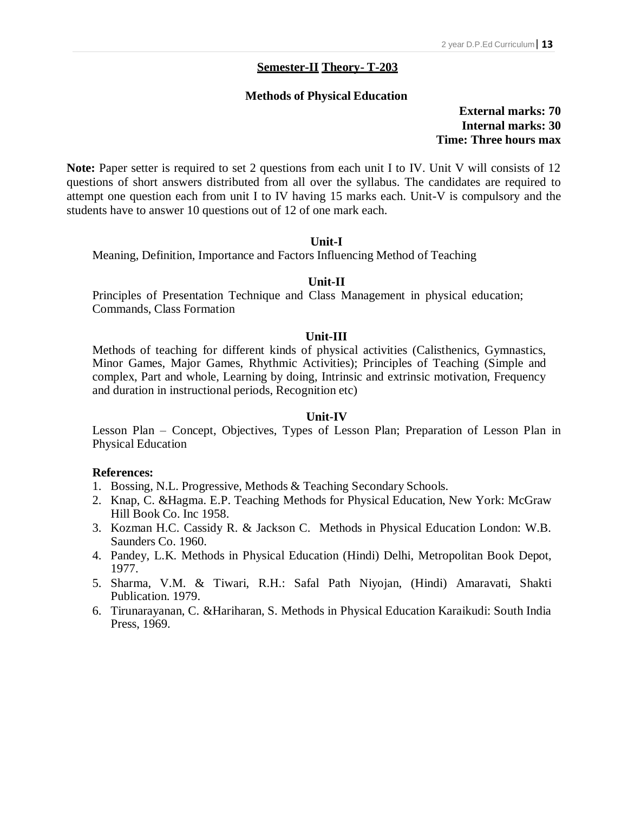#### **Semester-II Theory- T-203**

## **Methods of Physical Education**

**External marks: 70 Internal marks: 30 Time: Three hours max**

Note: Paper setter is required to set 2 questions from each unit I to IV. Unit V will consists of 12 questions of short answers distributed from all over the syllabus. The candidates are required to attempt one question each from unit I to IV having 15 marks each. Unit-V is compulsory and the students have to answer 10 questions out of 12 of one mark each.

#### **Unit-I**

Meaning, Definition, Importance and Factors Influencing Method of Teaching

#### **Unit-II**

Principles of Presentation Technique and Class Management in physical education; Commands, Class Formation

#### **Unit-III**

Methods of teaching for different kinds of physical activities (Calisthenics, Gymnastics, Minor Games, Major Games, Rhythmic Activities); Principles of Teaching (Simple and complex, Part and whole, Learning by doing, Intrinsic and extrinsic motivation, Frequency and duration in instructional periods, Recognition etc)

#### **Unit-IV**

Lesson Plan – Concept, Objectives, Types of Lesson Plan; Preparation of Lesson Plan in Physical Education

- 1. Bossing, N.L. Progressive, Methods & Teaching Secondary Schools.
- 2. Knap, C. &Hagma. E.P. Teaching Methods for Physical Education, New York: McGraw Hill Book Co. Inc 1958.
- 3. Kozman H.C. Cassidy R. & Jackson C. Methods in Physical Education London: W.B. Saunders Co. 1960.
- 4. Pandey, L.K. Methods in Physical Education (Hindi) Delhi, Metropolitan Book Depot, 1977.
- 5. Sharma, V.M. & Tiwari, R.H.: Safal Path Niyojan, (Hindi) Amaravati, Shakti Publication. 1979.
- 6. Tirunarayanan, C. &Hariharan, S. Methods in Physical Education Karaikudi: South India Press, 1969.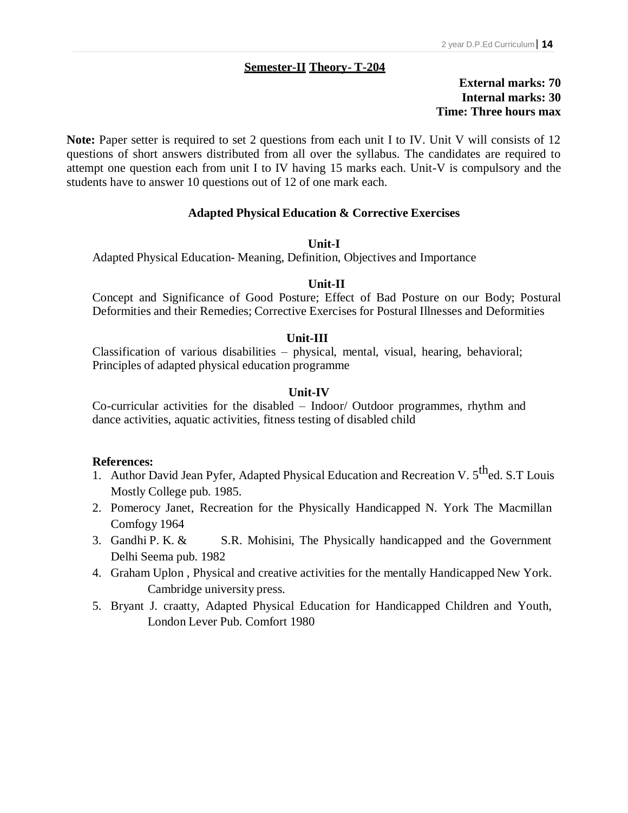### **Semester-II Theory- T-204**

## **External marks: 70 Internal marks: 30 Time: Three hours max**

Note: Paper setter is required to set 2 questions from each unit I to IV. Unit V will consists of 12 questions of short answers distributed from all over the syllabus. The candidates are required to attempt one question each from unit I to IV having 15 marks each. Unit-V is compulsory and the students have to answer 10 questions out of 12 of one mark each.

## **Adapted Physical Education & Corrective Exercises**

#### **Unit-I**

Adapted Physical Education- Meaning, Definition, Objectives and Importance

#### **Unit-II**

Concept and Significance of Good Posture; Effect of Bad Posture on our Body; Postural Deformities and their Remedies; Corrective Exercises for Postural Illnesses and Deformities

#### **Unit-III**

Classification of various disabilities – physical, mental, visual, hearing, behavioral; Principles of adapted physical education programme

#### **Unit-IV**

Co-curricular activities for the disabled – Indoor/ Outdoor programmes, rhythm and dance activities, aquatic activities, fitness testing of disabled child

- 1. Author David Jean Pyfer, Adapted Physical Education and Recreation V. 5<sup>th</sup>ed. S.T Louis Mostly College pub. 1985.
- 2. Pomerocy Janet, Recreation for the Physically Handicapped N. York The Macmillan Comfogy 1964
- 3. Gandhi P. K.  $\&$  S.R. Mohisini, The Physically handicapped and the Government Delhi Seema pub. 1982
- 4. Graham Uplon , Physical and creative activities for the mentally Handicapped New York. Cambridge university press.
- 5. Bryant J. craatty, Adapted Physical Education for Handicapped Children and Youth, London Lever Pub. Comfort 1980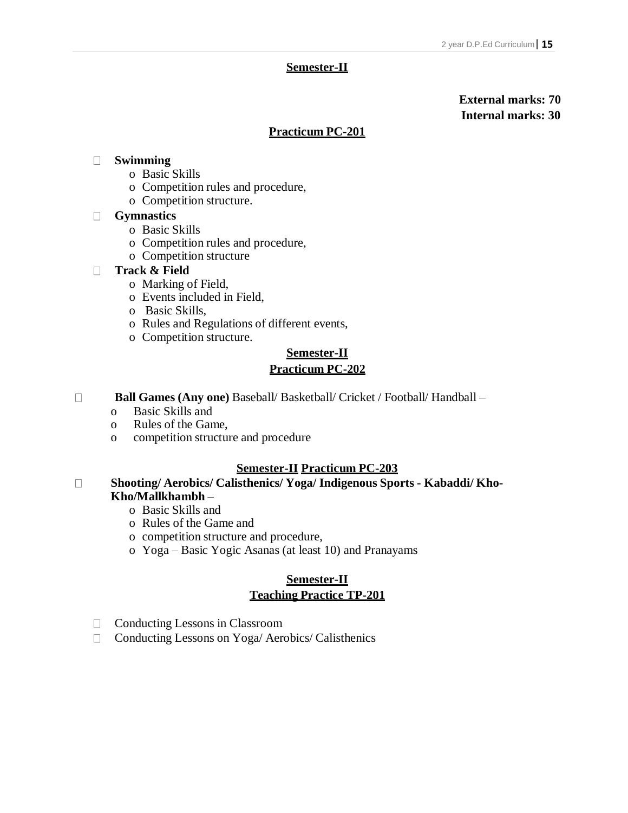#### **Semester-II**

## **External marks: 70 Internal marks: 30**

## **Practicum PC-201**

## **Swimming**

- o Basic Skills
- o Competition rules and procedure,
- o Competition structure.

#### **Gymnastics**

- o Basic Skills
- o Competition rules and procedure,
- o Competition structure

## **Track & Field**

- o Marking of Field,
- o Events included in Field,
- o Basic Skills,
- o Rules and Regulations of different events,
- o Competition structure.

## **Semester-II Practicum PC-202**

- **Ball Games (Any one)** Baseball/ Basketball/ Cricket / Football/ Handball
	- o Basic Skills and
	- o Rules of the Game,
	- o competition structure and procedure

## **Semester-II Practicum PC-203**

#### **Shooting/ Aerobics/ Calisthenics/ Yoga/ Indigenous Sports - Kabaddi/ Kho-** $\Box$ **Kho/Mallkhambh** –

- o Basic Skills and
- o Rules of the Game and
- o competition structure and procedure,
- o Yoga Basic Yogic Asanas (at least 10) and Pranayams

## **Semester-II Teaching Practice TP-201**

- $\Box$  Conducting Lessons in Classroom
- □ Conducting Lessons on Yoga/ Aerobics/ Calisthenics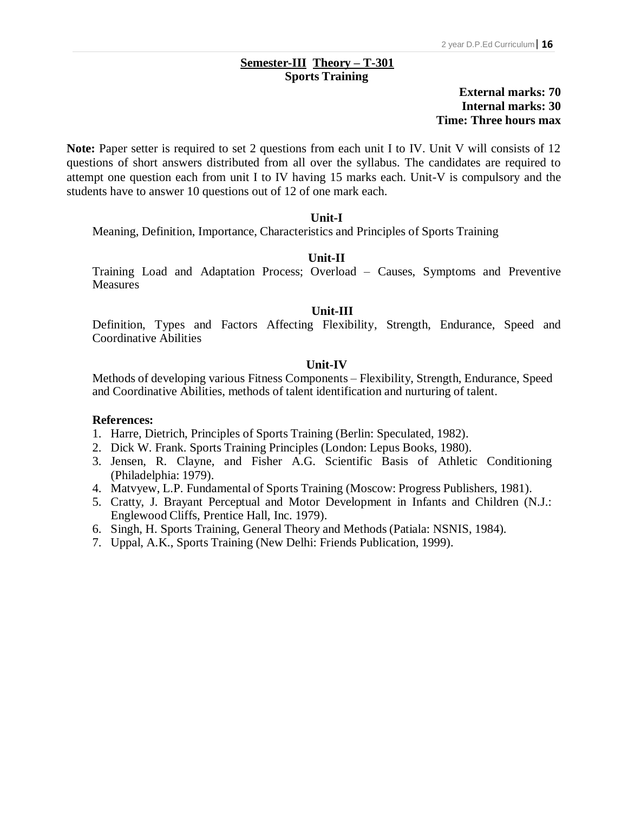#### **<sup>16</sup> Semester-III Theory – T-301 Sports Training**

## **External marks: 70 Internal marks: 30 Time: Three hours max**

Note: Paper setter is required to set 2 questions from each unit I to IV. Unit V will consists of 12 questions of short answers distributed from all over the syllabus. The candidates are required to attempt one question each from unit I to IV having 15 marks each. Unit-V is compulsory and the students have to answer 10 questions out of 12 of one mark each.

## **Unit-I**

Meaning, Definition, Importance, Characteristics and Principles of Sports Training

#### **Unit-II**

Training Load and Adaptation Process; Overload – Causes, Symptoms and Preventive **Measures** 

#### **Unit-III**

Definition, Types and Factors Affecting Flexibility, Strength, Endurance, Speed and Coordinative Abilities

## **Unit-IV**

Methods of developing various Fitness Components – Flexibility, Strength, Endurance, Speed and Coordinative Abilities, methods of talent identification and nurturing of talent.

- 1. Harre, Dietrich, Principles of Sports Training (Berlin: Speculated, 1982).
- 2. Dick W. Frank. Sports Training Principles (London: Lepus Books, 1980).
- 3. Jensen, R. Clayne, and Fisher A.G. Scientific Basis of Athletic Conditioning (Philadelphia: 1979).
- 4. Matvyew, L.P. Fundamental of Sports Training (Moscow: Progress Publishers, 1981).
- 5. Cratty, J. Brayant Perceptual and Motor Development in Infants and Children (N.J.: Englewood Cliffs, Prentice Hall, Inc. 1979).
- 6. Singh, H. Sports Training, General Theory and Methods (Patiala: NSNIS, 1984).
- 7. Uppal, A.K., Sports Training (New Delhi: Friends Publication, 1999).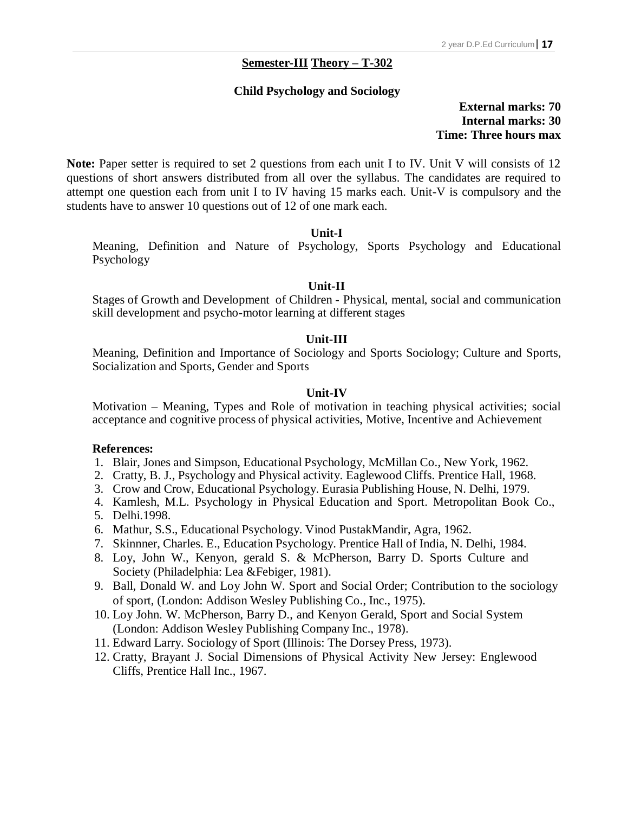## **<sup>17</sup> Semester-III Theory – T-302**

#### **Child Psychology and Sociology**

## **External marks: 70 Internal marks: 30 Time: Three hours max**

Note: Paper setter is required to set 2 questions from each unit I to IV. Unit V will consists of 12 questions of short answers distributed from all over the syllabus. The candidates are required to attempt one question each from unit I to IV having 15 marks each. Unit-V is compulsory and the students have to answer 10 questions out of 12 of one mark each.

#### **Unit-I**

Meaning, Definition and Nature of Psychology, Sports Psychology and Educational Psychology

#### **Unit-II**

Stages of Growth and Development of Children - Physical, mental, social and communication skill development and psycho-motor learning at different stages

## **Unit-III**

Meaning, Definition and Importance of Sociology and Sports Sociology; Culture and Sports, Socialization and Sports, Gender and Sports

#### **Unit-IV**

Motivation – Meaning, Types and Role of motivation in teaching physical activities; social acceptance and cognitive process of physical activities, Motive, Incentive and Achievement

- 1. Blair, Jones and Simpson, Educational Psychology, McMillan Co., New York, 1962.
- 2. Cratty, B. J., Psychology and Physical activity. Eaglewood Cliffs. Prentice Hall, 1968.
- 3. Crow and Crow, Educational Psychology. Eurasia Publishing House, N. Delhi, 1979.
- 4. Kamlesh, M.L. Psychology in Physical Education and Sport. Metropolitan Book Co., 5. Delhi.1998.
- 6. Mathur, S.S., Educational Psychology. Vinod PustakMandir, Agra, 1962.
- 7. Skinnner, Charles. E., Education Psychology. Prentice Hall of India, N. Delhi, 1984.
- 8. Loy, John W., Kenyon, gerald S. & McPherson, Barry D. Sports Culture and Society (Philadelphia: Lea &Febiger, 1981).
- 9. Ball, Donald W. and Loy John W. Sport and Social Order; Contribution to the sociology of sport, (London: Addison Wesley Publishing Co., Inc., 1975).
- 10. Loy John. W. McPherson, Barry D., and Kenyon Gerald, Sport and Social System (London: Addison Wesley Publishing Company Inc., 1978).
- 11. Edward Larry. Sociology of Sport (Illinois: The Dorsey Press, 1973).
- 12. Cratty, Brayant J. Social Dimensions of Physical Activity New Jersey: Englewood Cliffs, Prentice Hall Inc., 1967.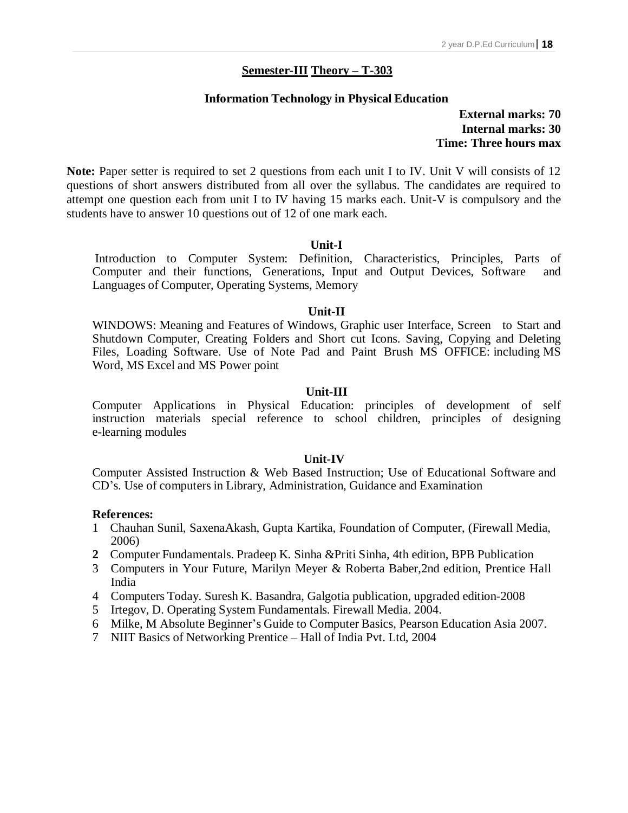## **Semester-III Theory – T-303**

#### **Information Technology in Physical Education**

**External marks: 70 Internal marks: 30 Time: Three hours max**

**Note:** Paper setter is required to set 2 questions from each unit I to IV. Unit V will consists of 12 questions of short answers distributed from all over the syllabus. The candidates are required to attempt one question each from unit I to IV having 15 marks each. Unit-V is compulsory and the students have to answer 10 questions out of 12 of one mark each.

#### **Unit-I**

Introduction to Computer System: Definition, Characteristics, Principles, Parts of Computer and their functions, Generations, Input and Output Devices, Software and Languages of Computer, Operating Systems, Memory

#### **Unit-II**

WINDOWS: Meaning and Features of Windows, Graphic user Interface, Screen to Start and Shutdown Computer, Creating Folders and Short cut Icons. Saving, Copying and Deleting Files, Loading Software. Use of Note Pad and Paint Brush MS OFFICE: including MS Word, MS Excel and MS Power point

#### **Unit-III**

Computer Applications in Physical Education: principles of development of self instruction materials special reference to school children, principles of designing e-learning modules

#### **Unit-IV**

Computer Assisted Instruction & Web Based Instruction; Use of Educational Software and CD's. Use of computers in Library, Administration, Guidance and Examination

- 1 Chauhan Sunil, SaxenaAkash, Gupta Kartika, Foundation of Computer, (Firewall Media, 2006)
- **2** Computer Fundamentals. Pradeep K. Sinha &Priti Sinha, 4th edition, BPB Publication
- 3 Computers in Your Future, Marilyn Meyer & Roberta Baber,2nd edition, Prentice Hall India
- 4 Computers Today. Suresh K. Basandra, Galgotia publication, upgraded edition-2008
- 5 Irtegov, D. Operating System Fundamentals. Firewall Media. 2004.
- 6 Milke, M Absolute Beginner's Guide to Computer Basics, Pearson Education Asia 2007.
- 7 NIIT Basics of Networking Prentice Hall of India Pvt. Ltd, 2004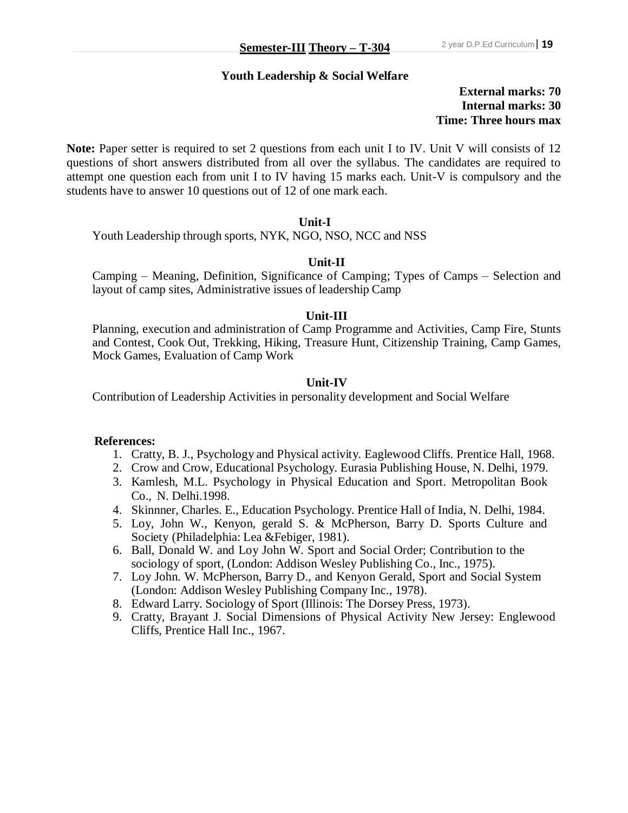## **Youth Leadership & Social Welfare**

## **External marks: 70 Internal marks: 30 Time: Three hours max**

**Note:** Paper setter is required to set 2 questions from each unit I to IV. Unit V will consists of 12 questions of short answers distributed from all over the syllabus. The candidates are required to attempt one question each from unit I to IV having 15 marks each. Unit-V is compulsory and the students have to answer 10 questions out of 12 of one mark each.

#### **Unit-I**

Youth Leadership through sports, NYK, NGO, NSO, NCC and NSS

## **Unit-II**

Camping – Meaning, Definition, Significance of Camping; Types of Camps – Selection and layout of camp sites, Administrative issues of leadership Camp

#### **Unit-III**

Planning, execution and administration of Camp Programme and Activities, Camp Fire, Stunts and Contest, Cook Out, Trekking, Hiking, Treasure Hunt, Citizenship Training, Camp Games, Mock Games, Evaluation of Camp Work

## **Unit-IV**

Contribution of Leadership Activities in personality development and Social Welfare

- 1. Cratty, B. J., Psychology and Physical activity. Eaglewood Cliffs. Prentice Hall, 1968.
- 2. Crow and Crow, Educational Psychology. Eurasia Publishing House, N. Delhi, 1979.
- 3. Kamlesh, M.L. Psychology in Physical Education and Sport. Metropolitan Book Co., N. Delhi.1998.
- 4. Skinnner, Charles. E., Education Psychology. Prentice Hall of India, N. Delhi, 1984.
- 5. Loy, John W., Kenyon, gerald S. & McPherson, Barry D. Sports Culture and Society (Philadelphia: Lea &Febiger, 1981).
- 6. Ball, Donald W. and Loy John W. Sport and Social Order; Contribution to the sociology of sport, (London: Addison Wesley Publishing Co., Inc., 1975).
- 7. Loy John. W. McPherson, Barry D., and Kenyon Gerald, Sport and Social System (London: Addison Wesley Publishing Company Inc., 1978).
- 8. Edward Larry. Sociology of Sport (Illinois: The Dorsey Press, 1973).
- 9. Cratty, Brayant J. Social Dimensions of Physical Activity New Jersey: Englewood Cliffs, Prentice Hall Inc., 1967.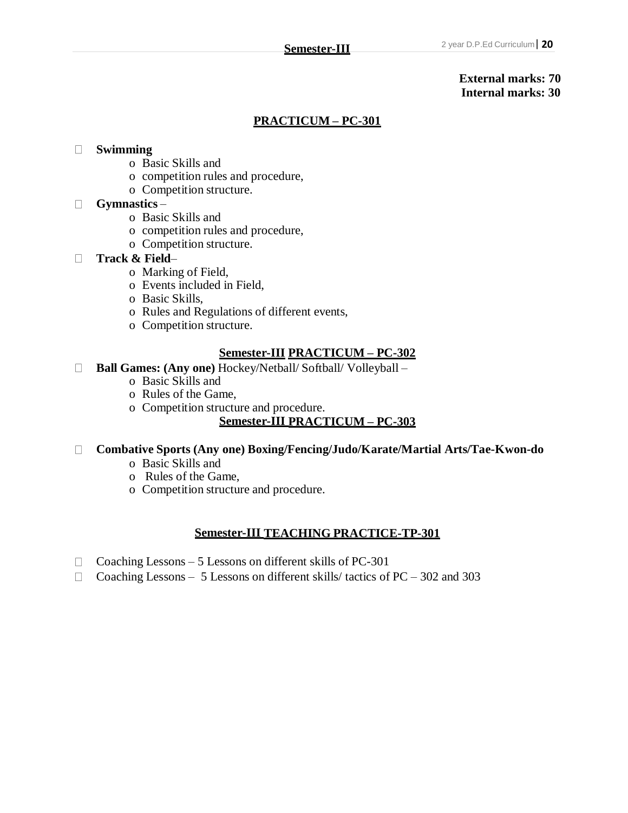## **External marks: 70 Internal marks: 30**

## **PRACTICUM – PC-301**

### **Swimming**

- o Basic Skills and
- o competition rules and procedure,
- o Competition structure.

### **Gymnastics** –

- o Basic Skills and
- o competition rules and procedure,
- o Competition structure.

#### **Track & Field**–

- o Marking of Field,
- o Events included in Field,
- o Basic Skills,
- o Rules and Regulations of different events,
- o Competition structure.

## **Semester-III PRACTICUM – PC-302**

- **Ball Games: (Any one)** Hockey/Netball/ Softball/ Volleyball
	- o Basic Skills and
	- o Rules of the Game,
	- o Competition structure and procedure.

## **Semester-III PRACTICUM – PC-303**

## **Combative Sports (Any one) Boxing/Fencing/Judo/Karate/Martial Arts/Tae-Kwon-do**

- o Basic Skills and
- o Rules of the Game,
- o Competition structure and procedure.

## **Semester-III TEACHING PRACTICE-TP-301**

- $\Box$  Coaching Lessons 5 Lessons on different skills of PC-301
- $\Box$  Coaching Lessons 5 Lessons on different skills/ tactics of PC 302 and 303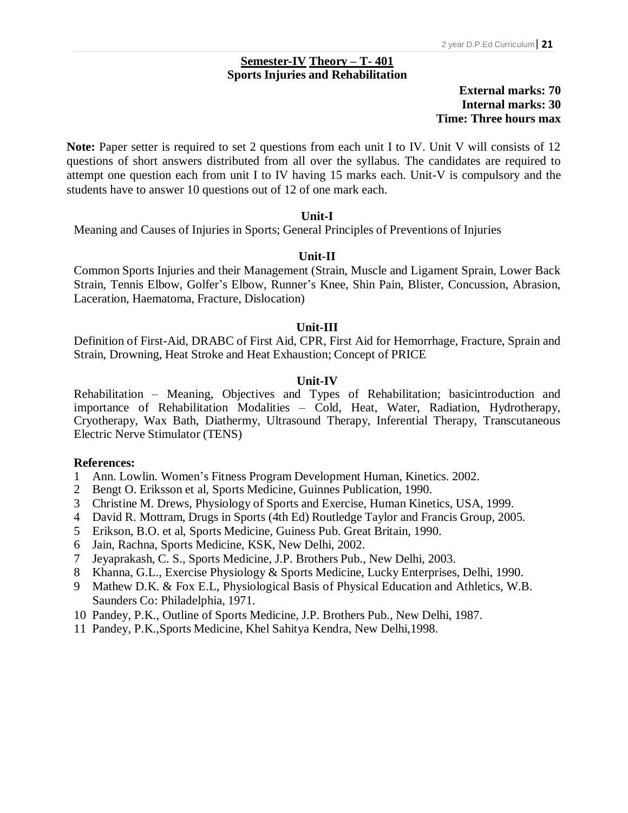#### **21 Semester-IV Theory – T- 401 Sports Injuries and Rehabilitation**

## **External marks: 70 Internal marks: 30 Time: Three hours max**

Note: Paper setter is required to set 2 questions from each unit I to IV. Unit V will consists of 12 questions of short answers distributed from all over the syllabus. The candidates are required to attempt one question each from unit I to IV having 15 marks each. Unit-V is compulsory and the students have to answer 10 questions out of 12 of one mark each.

## **Unit-I**

Meaning and Causes of Injuries in Sports; General Principles of Preventions of Injuries

## **Unit-II**

Common Sports Injuries and their Management (Strain, Muscle and Ligament Sprain, Lower Back Strain, Tennis Elbow, Golfer's Elbow, Runner's Knee, Shin Pain, Blister, Concussion, Abrasion, Laceration, Haematoma, Fracture, Dislocation)

## **Unit-III**

Definition of First-Aid, DRABC of First Aid, CPR, First Aid for Hemorrhage, Fracture, Sprain and Strain, Drowning, Heat Stroke and Heat Exhaustion; Concept of PRICE

## **Unit-IV**

Rehabilitation – Meaning, Objectives and Types of Rehabilitation; basicintroduction and importance of Rehabilitation Modalities – Cold, Heat, Water, Radiation, Hydrotherapy, Cryotherapy, Wax Bath, Diathermy, Ultrasound Therapy, Inferential Therapy, Transcutaneous Electric Nerve Stimulator (TENS)

- 1 Ann. Lowlin. Women's Fitness Program Development Human, Kinetics. 2002.
- 2 Bengt O. Eriksson et al, Sports Medicine, Guinnes Publication, 1990.
- 3 Christine M. Drews, Physiology of Sports and Exercise, Human Kinetics, USA, 1999.
- 4 David R. Mottram, Drugs in Sports (4th Ed) Routledge Taylor and Francis Group, 2005.
- 5 Erikson, B.O. et al, Sports Medicine, Guiness Pub. Great Britain, 1990.
- 6 Jain, Rachna, Sports Medicine, KSK, New Delhi, 2002.
- 7 Jeyaprakash, C. S., Sports Medicine, J.P. Brothers Pub., New Delhi, 2003.
- 8 Khanna, G.L., Exercise Physiology & Sports Medicine, Lucky Enterprises, Delhi, 1990.
- 9 Mathew D.K. & Fox E.L, Physiological Basis of Physical Education and Athletics, W.B. Saunders Co: Philadelphia, 1971.
- 10 Pandey, P.K., Outline of Sports Medicine, J.P. Brothers Pub., New Delhi, 1987.
- 11 Pandey, P.K.,Sports Medicine, Khel Sahitya Kendra, New Delhi,1998.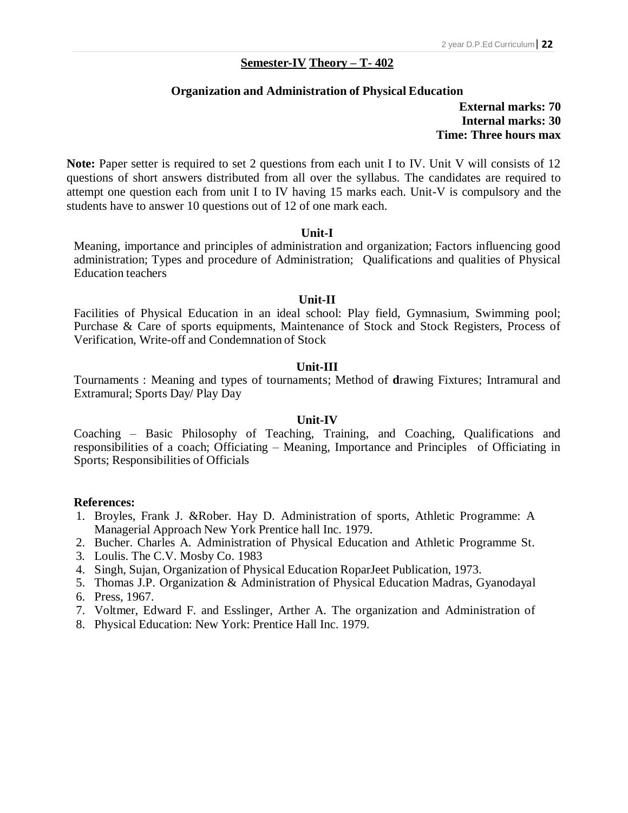### **<sup>22</sup> Semester-IV Theory – T- 402**

#### **Organization and Administration of Physical Education**

## **External marks: 70 Internal marks: 30 Time: Three hours max**

Note: Paper setter is required to set 2 questions from each unit I to IV. Unit V will consists of 12 questions of short answers distributed from all over the syllabus. The candidates are required to attempt one question each from unit I to IV having 15 marks each. Unit-V is compulsory and the students have to answer 10 questions out of 12 of one mark each.

#### **Unit-I**

Meaning, importance and principles of administration and organization; Factors influencing good administration; Types and procedure of Administration; Qualifications and qualities of Physical Education teachers

#### **Unit-II**

Facilities of Physical Education in an ideal school: Play field, Gymnasium, Swimming pool; Purchase & Care of sports equipments, Maintenance of Stock and Stock Registers, Process of Verification, Write-off and Condemnation of Stock

#### **Unit-III**

Tournaments : Meaning and types of tournaments; Method of **d**rawing Fixtures; Intramural and Extramural; Sports Day/ Play Day

#### **Unit-IV**

Coaching – Basic Philosophy of Teaching, Training, and Coaching, Qualifications and responsibilities of a coach; Officiating – Meaning, Importance and Principles of Officiating in Sports; Responsibilities of Officials

- 1. Broyles, Frank J. &Rober. Hay D. Administration of sports, Athletic Programme: A Managerial Approach New York Prentice hall Inc. 1979.
- 2. Bucher. Charles A. Administration of Physical Education and Athletic Programme St.
- 3. Loulis. The C.V. Mosby Co. 1983
- 4. Singh, Sujan, Organization of Physical Education RoparJeet Publication, 1973.
- 5. Thomas J.P. Organization & Administration of Physical Education Madras, Gyanodayal
- 6. Press, 1967.
- 7. Voltmer, Edward F. and Esslinger, Arther A. The organization and Administration of
- 8. Physical Education: New York: Prentice Hall Inc. 1979.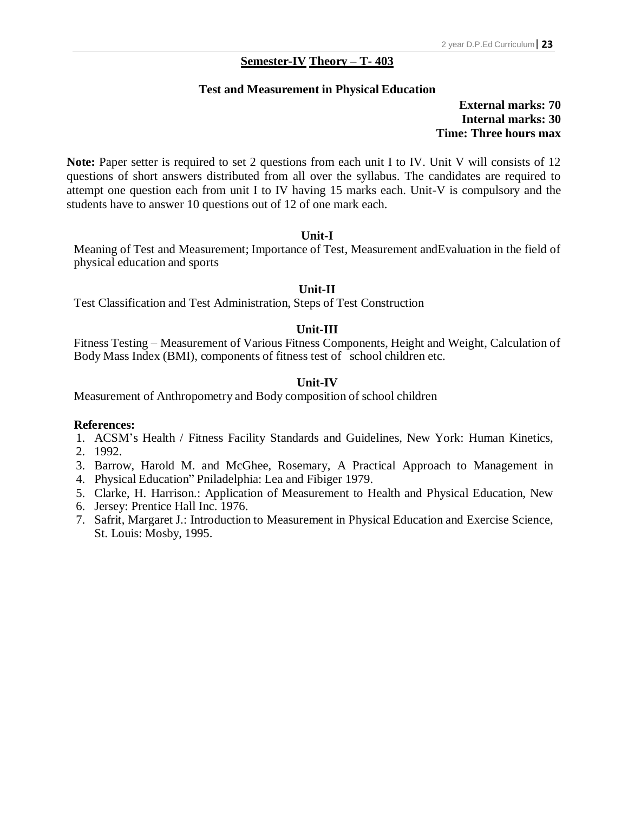## **23 Semester-IV Theory – T- 403**

#### **Test and Measurement in Physical Education**

## **External marks: 70 Internal marks: 30 Time: Three hours max**

**Note:** Paper setter is required to set 2 questions from each unit I to IV. Unit V will consists of 12 questions of short answers distributed from all over the syllabus. The candidates are required to attempt one question each from unit I to IV having 15 marks each. Unit-V is compulsory and the students have to answer 10 questions out of 12 of one mark each.

## **Unit-I**

Meaning of Test and Measurement; Importance of Test, Measurement andEvaluation in the field of physical education and sports

## **Unit-II**

Test Classification and Test Administration, Steps of Test Construction

## **Unit-III**

Fitness Testing – Measurement of Various Fitness Components, Height and Weight, Calculation of Body Mass Index (BMI), components of fitness test of school children etc.

## **Unit-IV**

Measurement of Anthropometry and Body composition of school children

- 1. ACSM's Health / Fitness Facility Standards and Guidelines, New York: Human Kinetics,
- 2. 1992.
- 3. Barrow, Harold M. and McGhee, Rosemary, A Practical Approach to Management in
- 4. Physical Education" Pniladelphia: Lea and Fibiger 1979.
- 5. Clarke, H. Harrison.: Application of Measurement to Health and Physical Education, New
- 6. Jersey: Prentice Hall Inc. 1976.
- 7. Safrit, Margaret J.: Introduction to Measurement in Physical Education and Exercise Science, St. Louis: Mosby, 1995.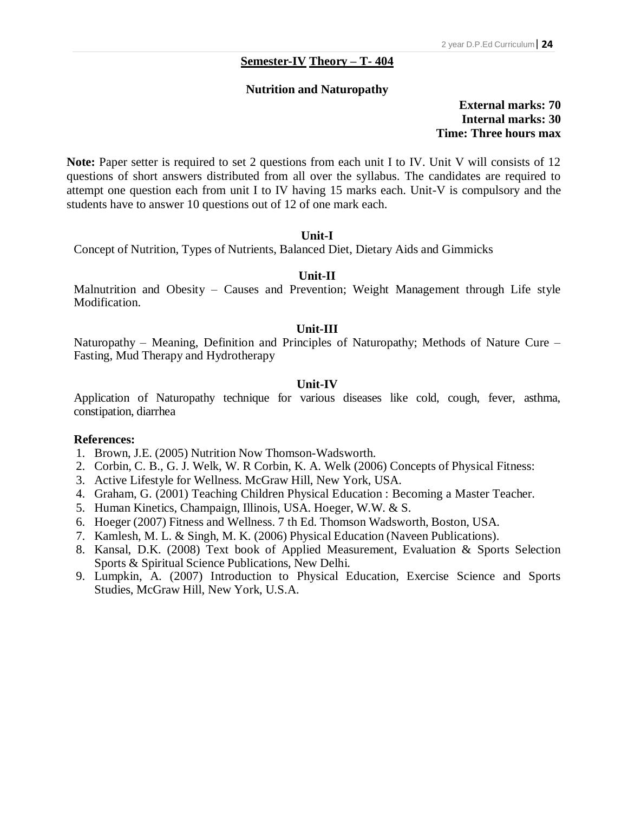## **24 Semester-IV Theory – T- 404**

#### **Nutrition and Naturopathy**

## **External marks: 70 Internal marks: 30 Time: Three hours max**

**Note:** Paper setter is required to set 2 questions from each unit I to IV. Unit V will consists of 12 questions of short answers distributed from all over the syllabus. The candidates are required to attempt one question each from unit I to IV having 15 marks each. Unit-V is compulsory and the students have to answer 10 questions out of 12 of one mark each.

#### **Unit-I**

Concept of Nutrition, Types of Nutrients, Balanced Diet, Dietary Aids and Gimmicks

#### **Unit-II**

Malnutrition and Obesity – Causes and Prevention; Weight Management through Life style Modification.

#### **Unit-III**

Naturopathy – Meaning, Definition and Principles of Naturopathy; Methods of Nature Cure – Fasting, Mud Therapy and Hydrotherapy

#### **Unit-IV**

Application of Naturopathy technique for various diseases like cold, cough, fever, asthma, constipation, diarrhea

- 1. Brown, J.E. (2005) Nutrition Now Thomson-Wadsworth.
- 2. Corbin, C. B., G. J. Welk, W. R Corbin, K. A. Welk (2006) Concepts of Physical Fitness:
- 3. Active Lifestyle for Wellness. McGraw Hill, New York, USA.
- 4. Graham, G. (2001) Teaching Children Physical Education : Becoming a Master Teacher.
- 5. Human Kinetics, Champaign, Illinois, USA. Hoeger, W.W. & S.
- 6. Hoeger (2007) Fitness and Wellness. 7 th Ed. Thomson Wadsworth, Boston, USA.
- 7. Kamlesh, M. L. & Singh, M. K. (2006) Physical Education (Naveen Publications).
- 8. Kansal, D.K. (2008) Text book of Applied Measurement, Evaluation & Sports Selection Sports & Spiritual Science Publications, New Delhi.
- 9. Lumpkin, A. (2007) Introduction to Physical Education, Exercise Science and Sports Studies, McGraw Hill, New York, U.S.A.